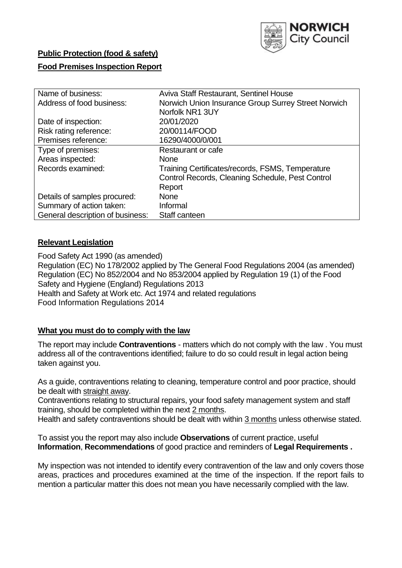

# **Public Protection (food & safety)**

# **Food Premises Inspection Report**

| Name of business:                | Aviva Staff Restaurant, Sentinel House              |  |  |  |  |  |
|----------------------------------|-----------------------------------------------------|--|--|--|--|--|
| Address of food business:        | Norwich Union Insurance Group Surrey Street Norwich |  |  |  |  |  |
|                                  | Norfolk NR1 3UY                                     |  |  |  |  |  |
| Date of inspection:              | 20/01/2020                                          |  |  |  |  |  |
| Risk rating reference:           | 20/00114/FOOD                                       |  |  |  |  |  |
| Premises reference:              | 16290/4000/0/001                                    |  |  |  |  |  |
| Type of premises:                | Restaurant or cafe                                  |  |  |  |  |  |
| Areas inspected:                 | <b>None</b>                                         |  |  |  |  |  |
| Records examined:                | Training Certificates/records, FSMS, Temperature    |  |  |  |  |  |
|                                  | Control Records, Cleaning Schedule, Pest Control    |  |  |  |  |  |
|                                  | Report                                              |  |  |  |  |  |
| Details of samples procured:     | <b>None</b>                                         |  |  |  |  |  |
| Summary of action taken:         | Informal                                            |  |  |  |  |  |
| General description of business: | Staff canteen                                       |  |  |  |  |  |

## **Relevant Legislation**

Food Safety Act 1990 (as amended) Regulation (EC) No 178/2002 applied by The General Food Regulations 2004 (as amended) Regulation (EC) No 852/2004 and No 853/2004 applied by Regulation 19 (1) of the Food Safety and Hygiene (England) Regulations 2013 Health and Safety at Work etc. Act 1974 and related regulations Food Information Regulations 2014

## **What you must do to comply with the law**

The report may include **Contraventions** - matters which do not comply with the law . You must address all of the contraventions identified; failure to do so could result in legal action being taken against you.

As a guide, contraventions relating to cleaning, temperature control and poor practice, should be dealt with straight away.

Contraventions relating to structural repairs, your food safety management system and staff training, should be completed within the next 2 months.

Health and safety contraventions should be dealt with within 3 months unless otherwise stated.

To assist you the report may also include **Observations** of current practice, useful **Information**, **Recommendations** of good practice and reminders of **Legal Requirements .**

My inspection was not intended to identify every contravention of the law and only covers those areas, practices and procedures examined at the time of the inspection. If the report fails to mention a particular matter this does not mean you have necessarily complied with the law.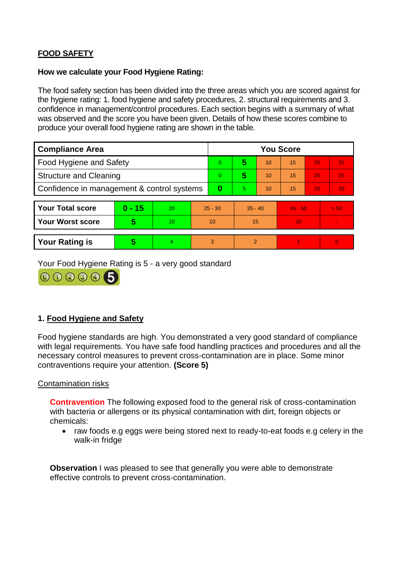# **FOOD SAFETY**

## **How we calculate your Food Hygiene Rating:**

The food safety section has been divided into the three areas which you are scored against for the hygiene rating: 1. food hygiene and safety procedures, 2. structural requirements and 3. confidence in management/control procedures. Each section begins with a summary of what was observed and the score you have been given. Details of how these scores combine to produce your overall food hygiene rating are shown in the table.

| <b>Compliance Area</b>                     |          |    |           | <b>You Score</b> |                |    |           |    |          |  |  |
|--------------------------------------------|----------|----|-----------|------------------|----------------|----|-----------|----|----------|--|--|
| <b>Food Hygiene and Safety</b>             |          |    |           | $\Omega$         | 5              | 10 | 15        | 20 | 25       |  |  |
| <b>Structure and Cleaning</b>              |          |    | $\Omega$  | 5                | 10             | 15 | 20        | 25 |          |  |  |
| Confidence in management & control systems |          |    | $\bf{0}$  | 5                | 10             | 15 | 20        | 30 |          |  |  |
|                                            |          |    |           |                  |                |    |           |    |          |  |  |
| <b>Your Total score</b>                    | $0 - 15$ | 20 | $25 - 30$ |                  | $35 - 40$      |    | $45 - 50$ |    | > 50     |  |  |
| <b>Your Worst score</b>                    | 5        | 10 | 10        |                  | 15             |    | 20        |    |          |  |  |
|                                            |          |    |           |                  |                |    |           |    |          |  |  |
| <b>Your Rating is</b>                      | 5        | 4  | 3         |                  | $\overline{2}$ |    |           |    | $\Omega$ |  |  |

Your Food Hygiene Rating is 5 - a very good standard



# **1. Food Hygiene and Safety**

Food hygiene standards are high. You demonstrated a very good standard of compliance with legal requirements. You have safe food handling practices and procedures and all the necessary control measures to prevent cross-contamination are in place. Some minor contraventions require your attention. **(Score 5)**

## Contamination risks

**Contravention** The following exposed food to the general risk of cross-contamination with bacteria or allergens or its physical contamination with dirt, foreign objects or chemicals:

• raw foods e.g eggs were being stored next to ready-to-eat foods e.g celery in the walk-in fridge

**Observation** I was pleased to see that generally you were able to demonstrate effective controls to prevent cross-contamination.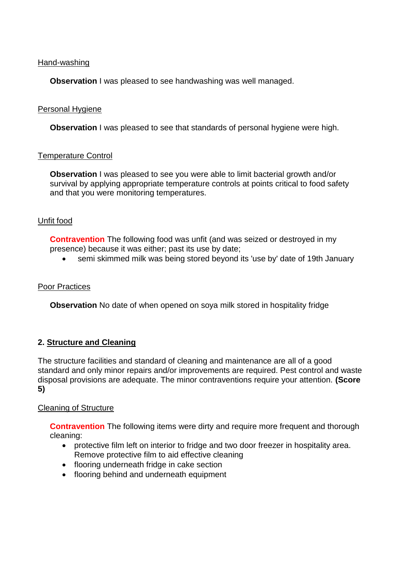## Hand-washing

**Observation** I was pleased to see handwashing was well managed.

## Personal Hygiene

**Observation** I was pleased to see that standards of personal hygiene were high.

### Temperature Control

**Observation** I was pleased to see you were able to limit bacterial growth and/or survival by applying appropriate temperature controls at points critical to food safety and that you were monitoring temperatures.

### Unfit food

**Contravention** The following food was unfit (and was seized or destroyed in my presence) because it was either; past its use by date;

semi skimmed milk was being stored beyond its 'use by' date of 19th January

#### Poor Practices

**Observation** No date of when opened on soya milk stored in hospitality fridge

## **2. Structure and Cleaning**

The structure facilities and standard of cleaning and maintenance are all of a good standard and only minor repairs and/or improvements are required. Pest control and waste disposal provisions are adequate. The minor contraventions require your attention. **(Score 5)**

#### Cleaning of Structure

**Contravention** The following items were dirty and require more frequent and thorough cleaning:

- protective film left on interior to fridge and two door freezer in hospitality area. Remove protective film to aid effective cleaning
- flooring underneath fridge in cake section
- flooring behind and underneath equipment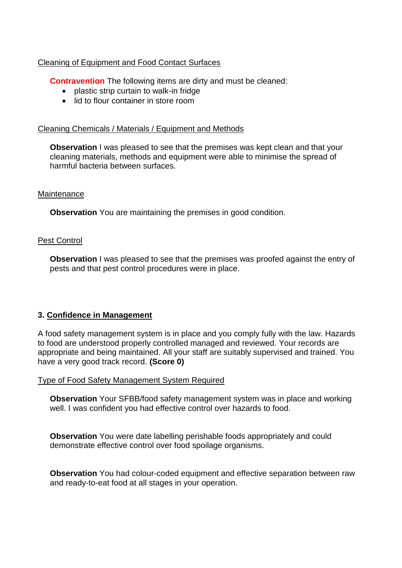# Cleaning of Equipment and Food Contact Surfaces

**Contravention** The following items are dirty and must be cleaned:

- plastic strip curtain to walk-in fridge
- lid to flour container in store room

# Cleaning Chemicals / Materials / Equipment and Methods

**Observation** I was pleased to see that the premises was kept clean and that your cleaning materials, methods and equipment were able to minimise the spread of harmful bacteria between surfaces.

## **Maintenance**

**Observation** You are maintaining the premises in good condition.

## Pest Control

**Observation** I was pleased to see that the premises was proofed against the entry of pests and that pest control procedures were in place.

## **3. Confidence in Management**

A food safety management system is in place and you comply fully with the law. Hazards to food are understood properly controlled managed and reviewed. Your records are appropriate and being maintained. All your staff are suitably supervised and trained. You have a very good track record. **(Score 0)**

## Type of Food Safety Management System Required

**Observation** Your SFBB/food safety management system was in place and working well. I was confident you had effective control over hazards to food.

**Observation** You were date labelling perishable foods appropriately and could demonstrate effective control over food spoilage organisms.

**Observation** You had colour-coded equipment and effective separation between raw and ready-to-eat food at all stages in your operation.